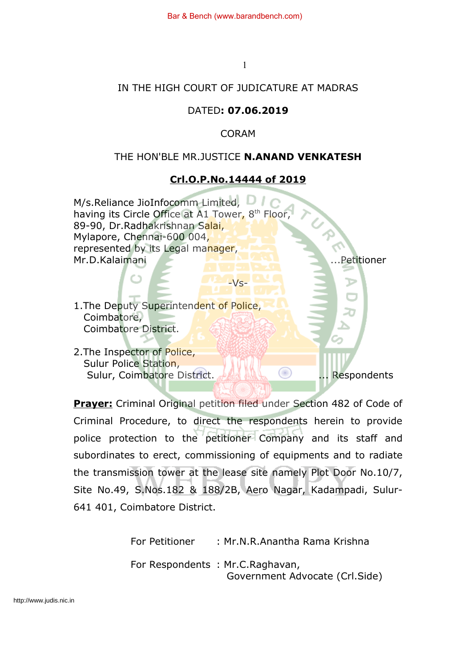1

## IN THE HIGH COURT OF JUDICATURE AT MADRAS

# DATED**: 07.06.2019**

CORAM

## THE HON'BLE MR.JUSTICE **N.ANAND VENKATESH**

# **Crl.O.P.No.14444 of 2019**

M/s.Reliance JioInfocomm Limited, having its Circle Office at A1 Tower, 8<sup>th</sup> Floor, 89-90, Dr.Radhakrishnan Salai, Mylapore, Chennai-600 004, represented by its Legal manager, Mr.D.Kalaimani ...Petitioner  $-Vs-$ 1. The Deputy Superintendent of Police, Coimbatore, Coimbatore District. 2.The Inspector of Police, Sulur Police Station, Sulur, Coimbatore District. ... Respondents

**Prayer:** Criminal Original petition filed under Section 482 of Code of Criminal Procedure, to direct the respondents herein to provide police protection to the petitioner Company and its staff and subordinates to erect, commissioning of equipments and to radiate the transmission tower at the lease site namely Plot Door No.10/7, Site No.49, S.Nos.182 & 188/2B, Aero Nagar, Kadampadi, Sulur-641 401, Coimbatore District.

> For Petitioner : Mr.N.R.Anantha Rama Krishna For Respondents : Mr.C.Raghavan, Government Advocate (Crl.Side)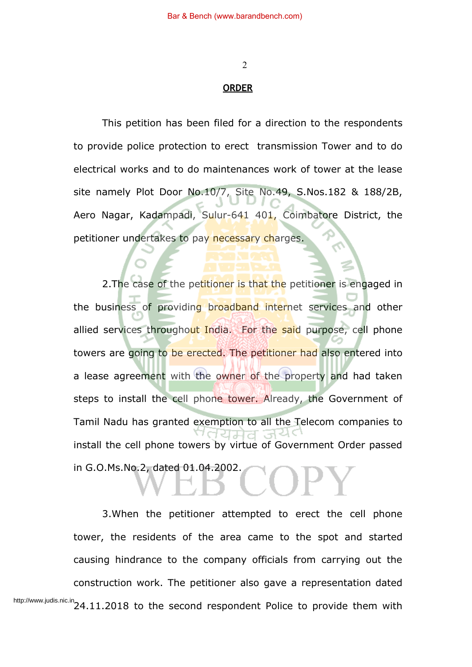2

#### **ORDER**

This petition has been filed for a direction to the respondents to provide police protection to erect transmission Tower and to do electrical works and to do maintenances work of tower at the lease site namely Plot Door No.10/7, Site No.49, S.Nos.182 & 188/2B, Aero Nagar, Kadampadi, Sulur-641 401, Coimbatore District, the petitioner undertakes to pay necessary charges.

2. The case of the petitioner is that the petitioner is engaged in the business of providing broadband internet services and other allied services throughout India. For the said purpose, cell phone towers are going to be erected. The petitioner had also entered into a lease agreement with the owner of the property and had taken steps to install the cell phone tower. Already, the Government of Tamil Nadu has granted exemption to all the Telecom companies to install the cell phone towers by virtue of Government Order passed in G.O.Ms.No.2, dated 01.04.2002.

3.When the petitioner attempted to erect the cell phone tower, the residents of the area came to the spot and started causing hindrance to the company officials from carrying out the construction work. The petitioner also gave a representation dated http://www.judis.nic.in<br>http://www.judis.nic.in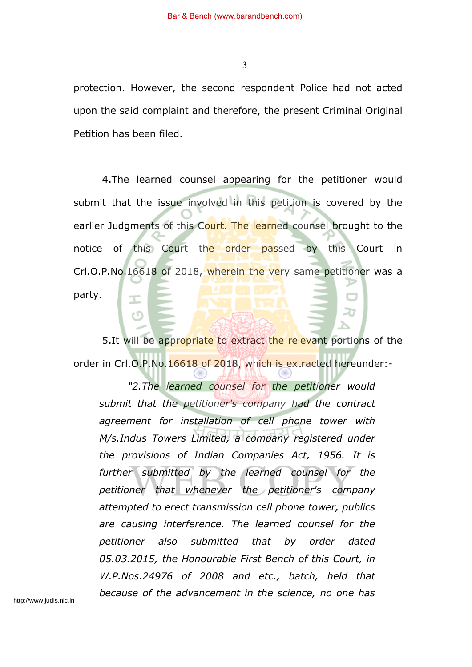protection. However, the second respondent Police had not acted upon the said complaint and therefore, the present Criminal Original Petition has been filed.

4.The learned counsel appearing for the petitioner would submit that the issue involved in this petition is covered by the earlier Judgments of this Court. The learned counsel brought to the notice of this Court the order passed by this Court in Crl.O.P.No.16618 of 2018, wherein the very same petitioner was a party.

5. It will be appropriate to extract the relevant portions of the order in Crl.O.P.No.16618 of 2018, which is extracted hereunder:-

*"2.The learned counsel for the petitioner would submit that the petitioner's company had the contract agreement for installation of cell phone tower with M/s.Indus Towers Limited, a company registered under the provisions of Indian Companies Act, 1956. It is further submitted by the learned counsel for the petitioner that whenever the petitioner's company attempted to erect transmission cell phone tower, publics are causing interference. The learned counsel for the petitioner also submitted that by order dated 05.03.2015, the Honourable First Bench of this Court, in W.P.Nos.24976 of 2008 and etc., batch, held that because of the advancement in the science, no one has*

http://www.judis.nic.in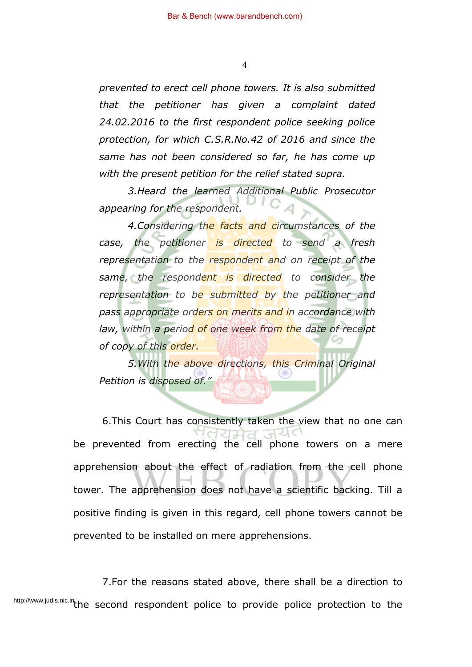*prevented to erect cell phone towers. It is also submitted that the petitioner has given a complaint dated 24.02.2016 to the first respondent police seeking police protection, for which C.S.R.No.42 of 2016 and since the same has not been considered so far, he has come up with the present petition for the relief stated supra.*

*3.Heard the learned Additional Public Prosecutor appearing for the respondent.*

*4.Considering the facts and circumstances of the case, the petitioner is directed to send a fresh representation to the respondent and on receipt of the same, the respondent is directed to consider the representation to be submitted by the petitioner and pass appropriate orders on merits and in accordance with law, within a period of one week from the date of receipt of copy of this order.*

*5.With the above directions, this Criminal Original Petition is disposed of."*

6.This Court has consistently taken the view that no one can ੧ਰਹਸ਼ਰ be prevented from erecting the cell phone towers on a mere apprehension about the effect of radiation from the cell phone tower. The apprehension does not have a scientific backing. Till a positive finding is given in this regard, cell phone towers cannot be prevented to be installed on mere apprehensions.

7.For the reasons stated above, there shall be a direction to http://www.judis.nic.in<sub>t</sub>he second respondent police to provide police protection to the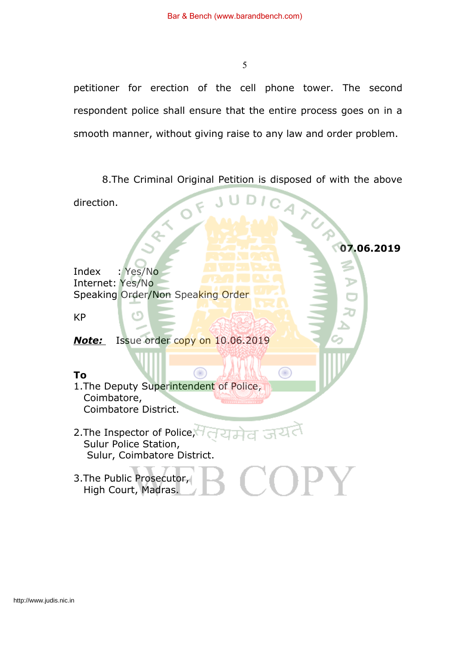petitioner for erection of the cell phone tower. The second respondent police shall ensure that the entire process goes on in a smooth manner, without giving raise to any law and order problem.

8.The Criminal Original Petition is disposed of with the above

◉

**07.06.2019**

direction.

Index : Yes/No Internet: Yes/No Speaking Order/Non Speaking Order

(۲۲)

KP

*Note:* Issue order copy on 10.06.2019

# **To**

1.The Deputy Superintendent of Police, Coimbatore, Coimbatore District.

2. The Inspector of Police, यमव Sulur Police Station, Sulur, Coimbatore District.

œ

#### $\bf{OPT}$ 3.The Public Prosecutor, High Court, Madras.